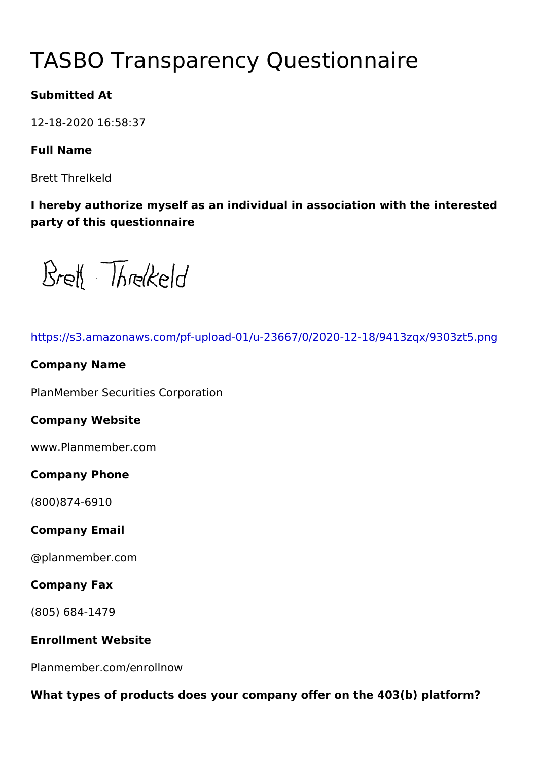# TASBO Transparency Questionna

Submitted At

12-18-2020 16:58:37

Full Name

Brett Threlkeld

I hereby authorize myself as an individual in association with the party of this questionnaire

[https://s3.amazonaws.com/pf-upload-01/u-23667/0/2020-12-1](https://s3.amazonaws.com/pf-upload-01/u-23667/0/2020-12-18/9413zqx/9303zt5.png)8/941

Company Name

PlanMember Securities Corporation

Company Website

www.Planmember.com

Company Phone

(800)874-6910

Company Email

@planmember.com

Company Fax

(805) 684-1479

Enrollment Website

Planmember.com/enrollnow

What types of products does your company offer on the  $403(b)$  platform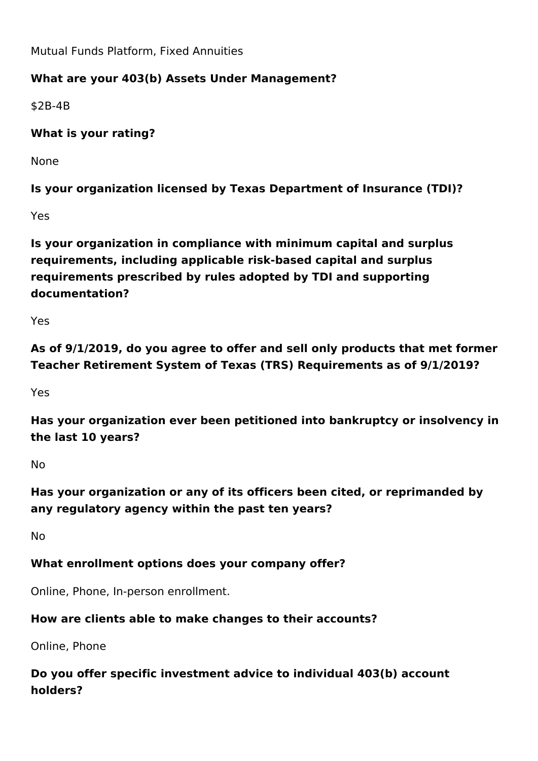Mutual Funds Platform, Fixed Annuities

# **What are your 403(b) Assets Under Management?**

\$2B-4B

**What is your rating?** 

None

**Is your organization licensed by Texas Department of Insurance (TDI)?**

Yes

**Is your organization in compliance with minimum capital and surplus requirements, including applicable risk-based capital and surplus requirements prescribed by rules adopted by TDI and supporting documentation?**

Yes

**As of 9/1/2019, do you agree to offer and sell only products that met former Teacher Retirement System of Texas (TRS) Requirements as of 9/1/2019?**

Yes

**Has your organization ever been petitioned into bankruptcy or insolvency in the last 10 years?**

No

**Has your organization or any of its officers been cited, or reprimanded by any regulatory agency within the past ten years?**

No

## **What enrollment options does your company offer?**

Online, Phone, In-person enrollment.

## **How are clients able to make changes to their accounts?**

Online, Phone

**Do you offer specific investment advice to individual 403(b) account holders?**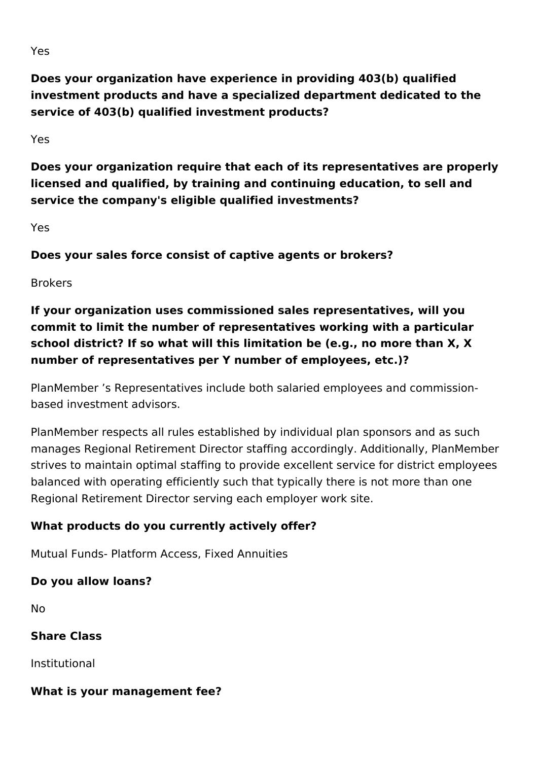**Does your organization have experience in providing 403(b) qualified investment products and have a specialized department dedicated to the service of 403(b) qualified investment products?**

Yes

**Does your organization require that each of its representatives are properly licensed and qualified, by training and continuing education, to sell and service the company's eligible qualified investments?** 

Yes

**Does your sales force consist of captive agents or brokers?**

Brokers

**If your organization uses commissioned sales representatives, will you commit to limit the number of representatives working with a particular school district? If so what will this limitation be (e.g., no more than X, X number of representatives per Y number of employees, etc.)?**

PlanMember 's Representatives include both salaried employees and commissionbased investment advisors.

PlanMember respects all rules established by individual plan sponsors and as such manages Regional Retirement Director staffing accordingly. Additionally, PlanMember strives to maintain optimal staffing to provide excellent service for district employees balanced with operating efficiently such that typically there is not more than one Regional Retirement Director serving each employer work site.

# **What products do you currently actively offer?**

Mutual Funds- Platform Access, Fixed Annuities

## **Do you allow loans?**

No

**Share Class**

Institutional

# **What is your management fee?**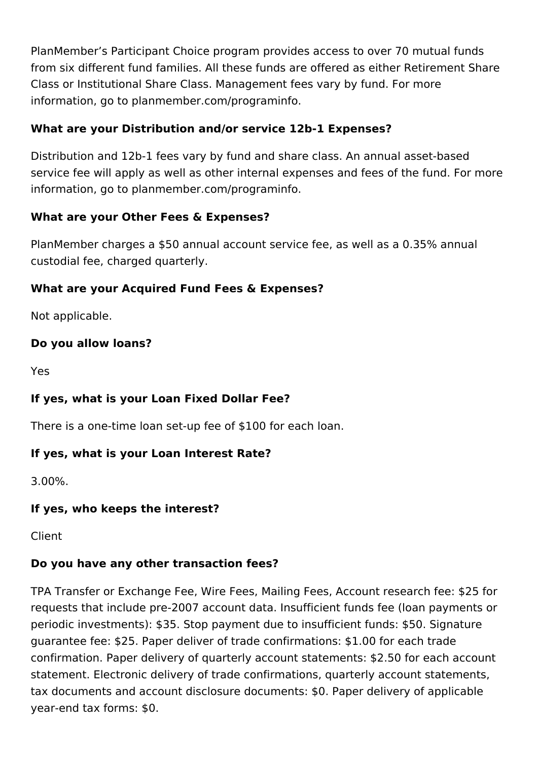PlanMember's Participant Choice program provides access to over 70 mutual funds from six different fund families. All these funds are offered as either Retirement Share Class or Institutional Share Class. Management fees vary by fund. For more information, go to planmember.com/programinfo.

## **What are your Distribution and/or service 12b-1 Expenses?**

Distribution and 12b-1 fees vary by fund and share class. An annual asset-based service fee will apply as well as other internal expenses and fees of the fund. For more information, go to planmember.com/programinfo.

## **What are your Other Fees & Expenses?**

PlanMember charges a \$50 annual account service fee, as well as a 0.35% annual custodial fee, charged quarterly.

## **What are your Acquired Fund Fees & Expenses?**

Not applicable.

#### **Do you allow loans?**

Yes

## **If yes, what is your Loan Fixed Dollar Fee?**

There is a one-time loan set-up fee of \$100 for each loan.

## **If yes, what is your Loan Interest Rate?**

3.00%.

#### **If yes, who keeps the interest?**

Client

## **Do you have any other transaction fees?**

TPA Transfer or Exchange Fee, Wire Fees, Mailing Fees, Account research fee: \$25 for requests that include pre-2007 account data. Insufficient funds fee (loan payments or periodic investments): \$35. Stop payment due to insufficient funds: \$50. Signature guarantee fee: \$25. Paper deliver of trade confirmations: \$1.00 for each trade confirmation. Paper delivery of quarterly account statements: \$2.50 for each account statement. Electronic delivery of trade confirmations, quarterly account statements, tax documents and account disclosure documents: \$0. Paper delivery of applicable year-end tax forms: \$0.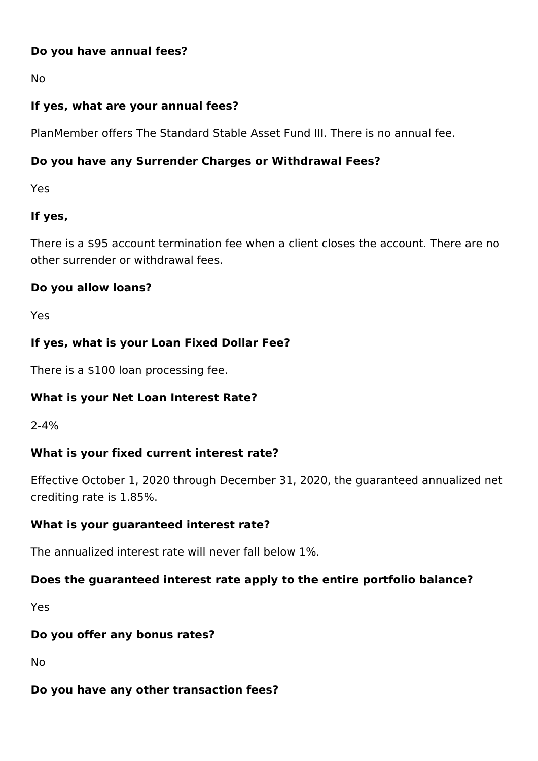#### **Do you have annual fees?**

No

# **If yes, what are your annual fees?**

PlanMember offers The Standard Stable Asset Fund III. There is no annual fee.

# **Do you have any Surrender Charges or Withdrawal Fees?**

Yes

# **If yes,**

There is a \$95 account termination fee when a client closes the account. There are no other surrender or withdrawal fees.

## **Do you allow loans?**

Yes

## **If yes, what is your Loan Fixed Dollar Fee?**

There is a \$100 loan processing fee.

## **What is your Net Loan Interest Rate?**

2-4%

## **What is your fixed current interest rate?**

Effective October 1, 2020 through December 31, 2020, the guaranteed annualized net crediting rate is 1.85%.

#### **What is your guaranteed interest rate?**

The annualized interest rate will never fall below 1%.

## **Does the guaranteed interest rate apply to the entire portfolio balance?**

Yes

## **Do you offer any bonus rates?**

No

## **Do you have any other transaction fees?**